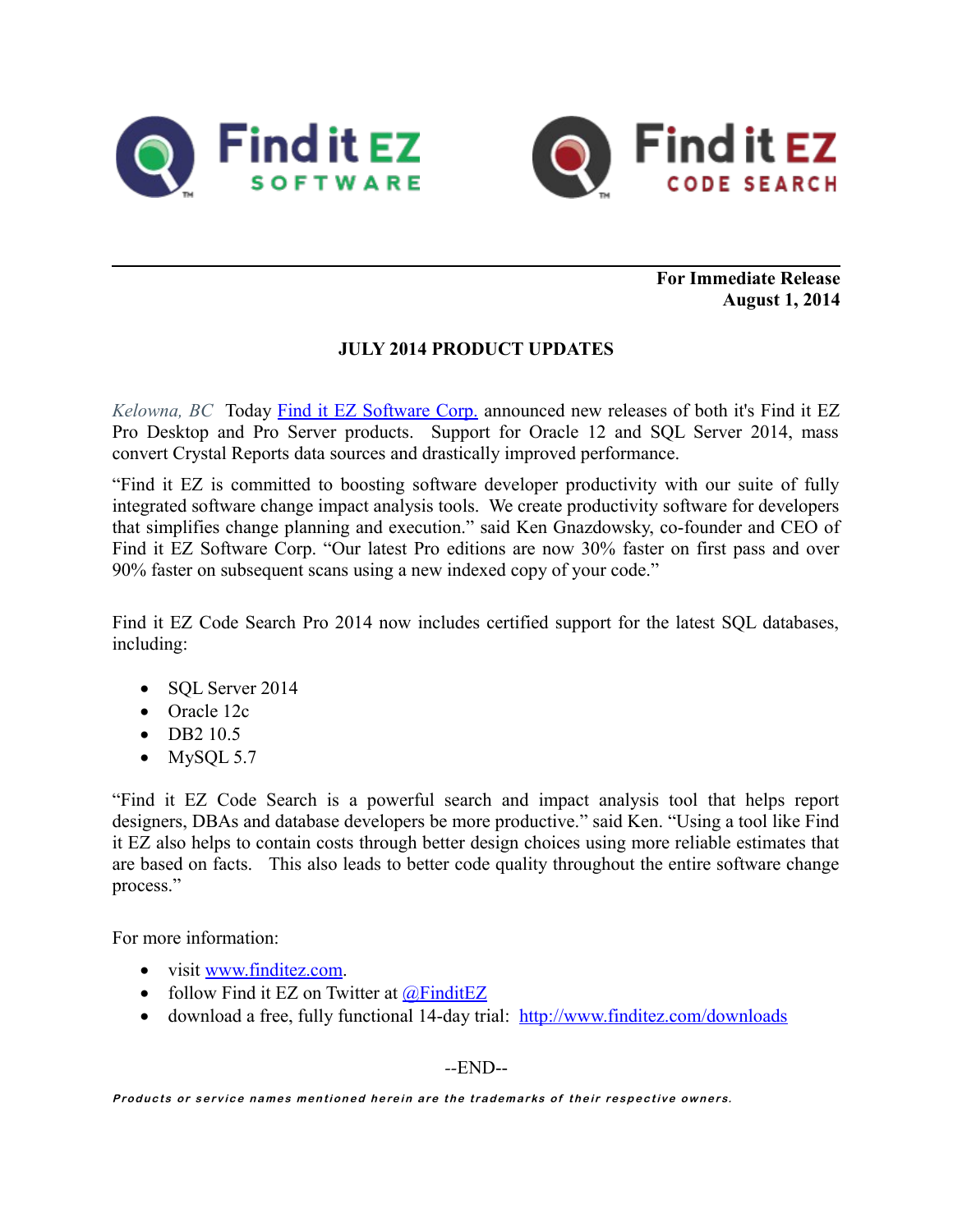



**For Immediate Release August 1, 2014**

## **JULY 2014 PRODUCT UPDATES**

*Kelowna, BC* Today [Find it EZ Software Corp.](http://www.finditez.com/) announced new releases of both it's Find it EZ Pro Desktop and Pro Server products. Support for Oracle 12 and SQL Server 2014, mass convert Crystal Reports data sources and drastically improved performance.

"Find it EZ is committed to boosting software developer productivity with our suite of fully integrated software change impact analysis tools. We create productivity software for developers that simplifies change planning and execution." said Ken Gnazdowsky, co-founder and CEO of Find it EZ Software Corp. "Our latest Pro editions are now 30% faster on first pass and over 90% faster on subsequent scans using a new indexed copy of your code."

Find it EZ Code Search Pro 2014 now includes certified support for the latest SQL databases, including:

- SOL Server 2014
- Oracle 12c
- $\bullet$  DB2 10.5
- $\bullet$  MySQL 5.7

"Find it EZ Code Search is a powerful search and impact analysis tool that helps report designers, DBAs and database developers be more productive." said Ken. "Using a tool like Find it EZ also helps to contain costs through better design choices using more reliable estimates that are based on facts. This also leads to better code quality throughout the entire software change process."

For more information:

- visit [www.finditez.com.](http://www.finditez.com/)
- follow Find it EZ on Twitter at  $\omega$ FinditEZ
- download a free, fully functional 14-day trial: <http://www.finditez.com/downloads>

*--*END--

Products or service names mentioned herein are the trademarks of their respective owners.